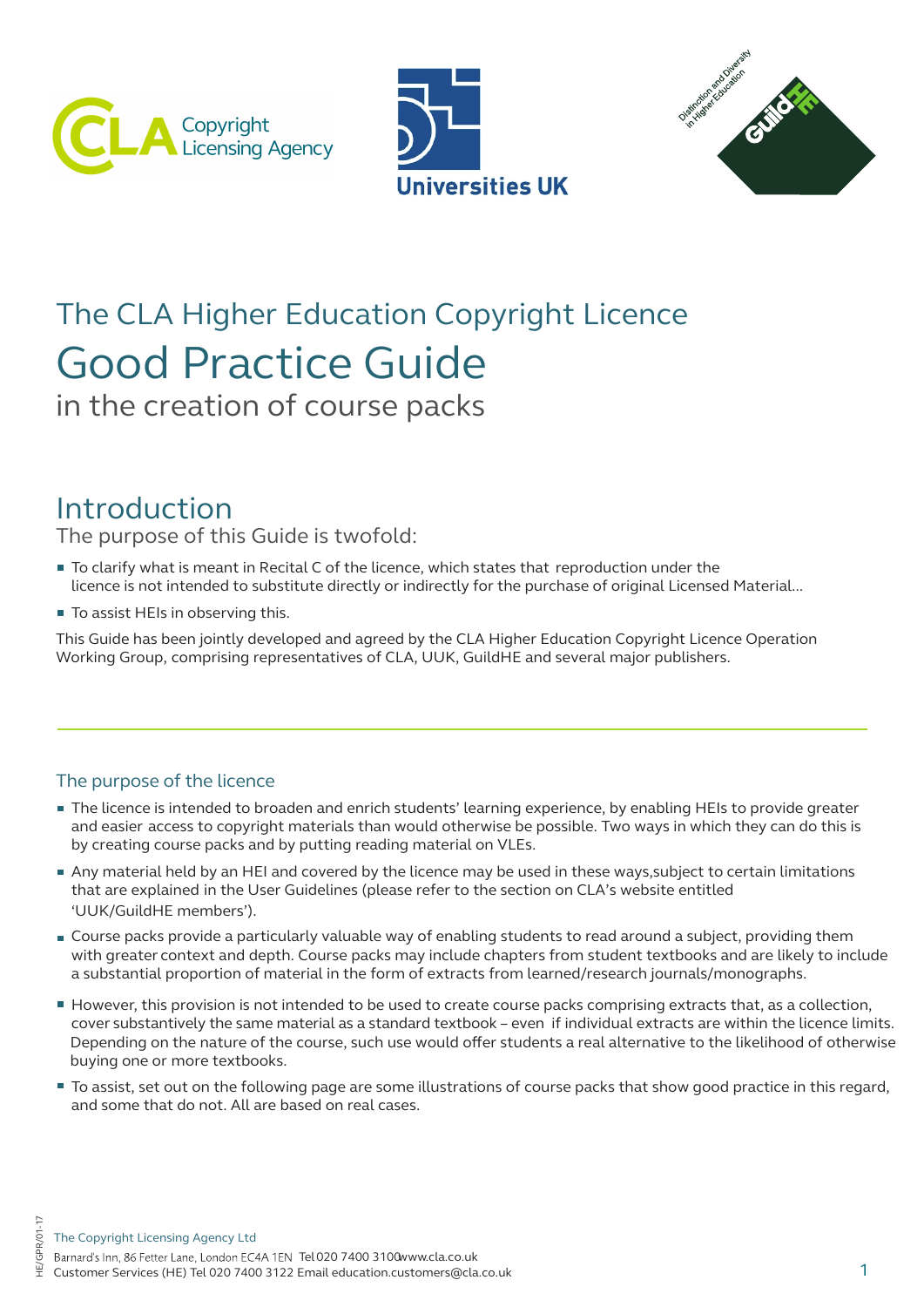





# Good Practice Guide The CLA Higher Education Copyright Licence

in the creation of course packs

# Introduction

The purpose of this Guide is twofold:

- To clarify what is meant in Recital C of the licence, which states that reproduction under the licence is not intended to substitute directly or indirectly for the purchase of original Licensed Material...
- To assist HEIs in observing this.

This Guide has been jointly developed and agreed by the CLA Higher Education Copyright Licence Operation Working Group, comprising representatives of CLA, UUK, GuildHE and several major publishers.

# The purpose of the licence

 $\tilde{}$ 

- The licence is intended to broaden and enrich students' learning experience, by enabling HEIs to provide greater and easier access to copyright materials than would otherwise be possible. Two ways in which they can do this is by creating course packs and by putting reading material on VLEs.
- Any material held by an HEI and covered by the licence may be used in these ways,subject to certain limitations that are explained in the User Guidelines (please refer to the section on CLA's website entitled 'UUK/GuildHE members').
- Course packs provide a particularly valuable way of enabling students to read around a subject, providing them with greater context and depth. Course packs may include chapters from student textbooks and are likely to include a substantial proportion of material in the form of extracts from learned/research journals/monographs.
- However, this provision is not intended to be used to create course packs comprising extracts that, as a collection, cover substantively the same material as a standard textbook – even if individual extracts are within the licence limits. Depending on the nature of the course, such use would offer students a real alternative to the likelihood of otherwise buying one or more textbooks.
- To assist, set out on the following page are some illustrations of course packs that show good practice in this regard, and some that do not. All are based on real cases.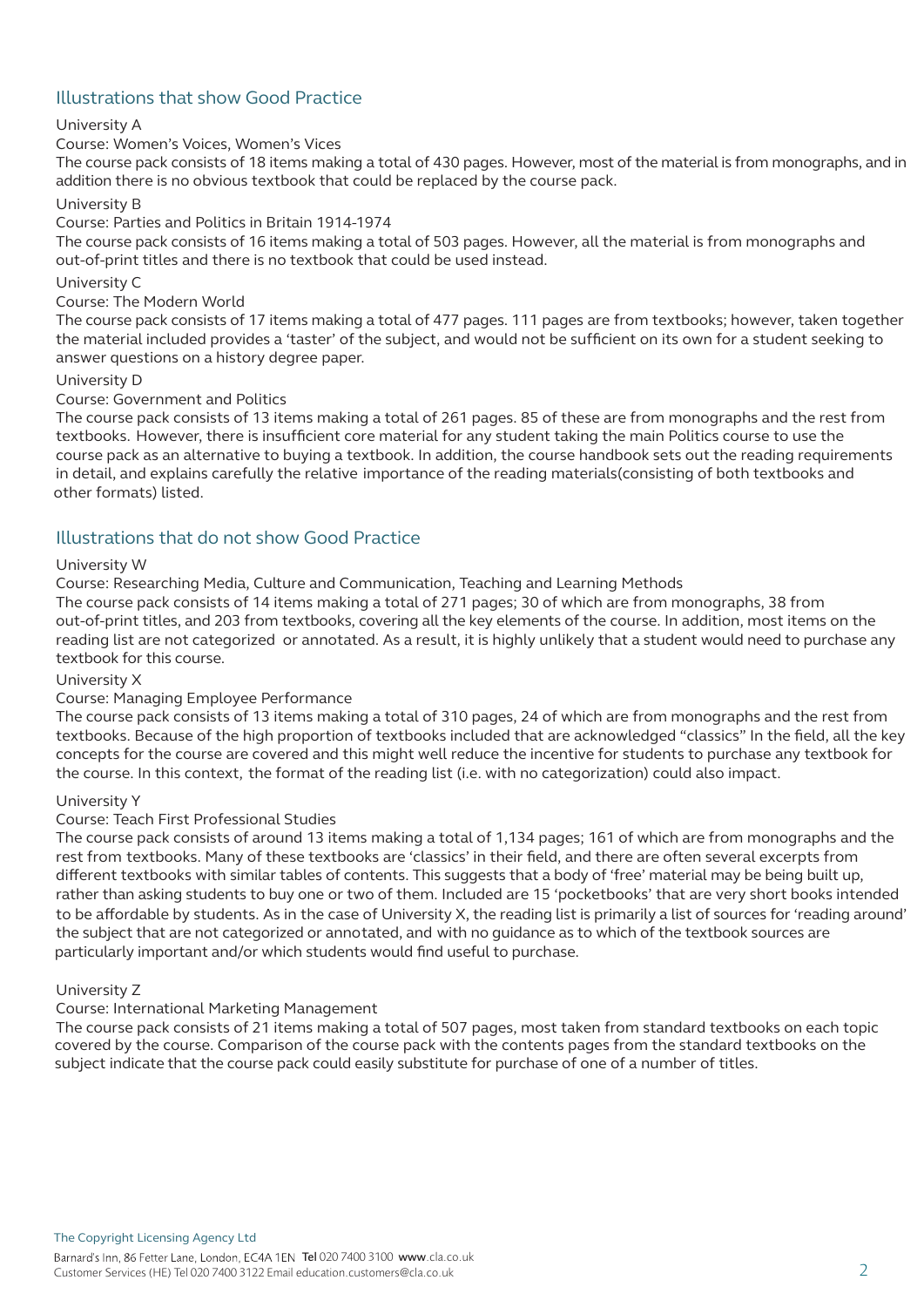# Illustrations that show Good Practice

#### University A

#### Course: Women's Voices, Women's Vices

The course pack consists of 18 items making a total of 430 pages. However, most of the material is from monographs, and in addition there is no obvious textbook that could be replaced by the course pack.

#### University B

#### Course: Parties and Politics in Britain 1914-1974

The course pack consists of 16 items making a total of 503 pages. However, all the material is from monographs and out-of-print titles and there is no textbook that could be used instead.

#### University C

#### Course: The Modern World

The course pack consists of 17 items making a total of 477 pages. 111 pages are from textbooks; however, taken together the material included provides a 'taster' of the subject, and would not be sufficient on its own for a student seeking to answer questions on a history degree paper.

#### University D

#### Course: Government and Politics

The course pack consists of 13 items making a total of 261 pages. 85 of these are from monographs and the rest from textbooks. However, there is insufficient core material for any student taking the main Politics course to use the course pack as an alternative to buying a textbook. In addition, the course handbook sets out the reading requirements in detail, and explains carefully the relative importance of the reading materials(consisting of both textbooks and other formats) listed.

#### Illustrations that do not show Good Practice

#### University W

Course: Researching Media, Culture and Communication, Teaching and Learning Methods

The course pack consists of 14 items making a total of 271 pages; 30 of which are from monographs, 38 from out-of-print titles, and 203 from textbooks, covering all the key elements of the course. In addition, most items on the reading list are not categorized or annotated. As a result, it is highly unlikely that a student would need to purchase any textbook for this course.

#### University X

#### Course: Managing Employee Performance

The course pack consists of 13 items making a total of 310 pages, 24 of which are from monographs and the rest from textbooks. Because of the high proportion of textbooks included that are acknowledged "classics" In the field, all the key concepts for the course are covered and this might well reduce the incentive for students to purchase any textbook for the course. In this context, the format of the reading list (i.e. with no categorization) could also impact.

#### University Y

#### Course: Teach First Professional Studies

The course pack consists of around 13 items making a total of 1,134 pages; 161 of which are from monographs and the rest from textbooks. Many of these textbooks are 'classics' in their field, and there are often several excerpts from different textbooks with similar tables of contents. This suggests that a body of 'free' material may be being built up, rather than asking students to buy one or two of them. Included are 15 'pocketbooks' that are very short books intended to be affordable by students. As in the case of University X, the reading list is primarily a list of sources for 'reading around' the subject that are not categorized or annotated, and with no guidance as to which of the textbook sources are particularly important and/or which students would find useful to purchase.

#### University Z

#### Course: International Marketing Management

The course pack consists of 21 items making a total of 507 pages, most taken from standard textbooks on each topic covered by the course. Comparison of the course pack with the contents pages from the standard textbooks on the subject indicate that the course pack could easily substitute for purchase of one of a number of titles.